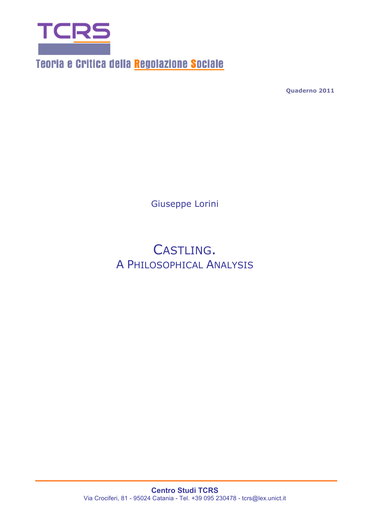

Teoria e Critica della Regolazione Sociale

**Quaderno 2011**

Giuseppe Lorini

CASTLING. A PHILOSOPHICAL ANALYSIS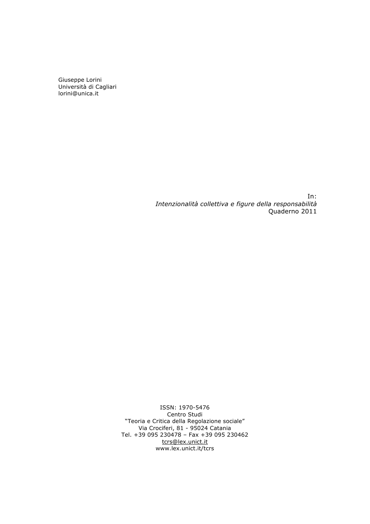Giuseppe Lorini Università di Cagliari lorini@unica.it

> In: *Intenzionalità collettiva e figure della responsabilità* Quaderno 2011

ISSN: 1970-5476 Centro Studi "Teoria e Critica della Regolazione sociale" Via Crociferi, 81 - 95024 Catania Tel. +39 095 230478 – Fax +39 095 230462 tcrs@lex.unict.it www.lex.unict.it/tcrs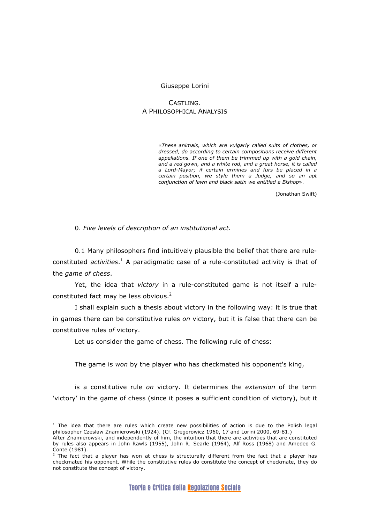## Giuseppe Lorini

# CASTLING. A PHILOSOPHICAL ANALYSIS

«*These animals, which are vulgarly called suits of clothes, or dressed, do according to certain compositions receive different appellations. If one of them be trimmed up with a gold chain, and a red gown, and a white rod, and a great horse, it is called a Lord-Mayor; if certain ermines and furs be placed in a certain position, we style them a Judge, and so an apt conjunction of lawn and black satin we entitled a Bishop*».

(Jonathan Swift)

0. *Five levels of description of an institutional act.*

0.1 Many philosophers find intuitively plausible the belief that there are ruleconstituted *activities*. <sup>1</sup> A paradigmatic case of a rule-constituted activity is that of the *game of chess*.

Yet, the idea that *victory* in a rule-constituted game is not itself a ruleconstituted fact may be less obvious.<sup>2</sup>

I shall explain such a thesis about victory in the following way: it is true that in games there can be constitutive rules *on* victory, but it is false that there can be constitutive rules *of* victory.

Let us consider the game of chess. The following rule of chess:

The game is *won* by the player who has checkmated his opponent's king,

is a constitutive rule *on* victory. It determines the *extension* of the term 'victory' in the game of chess (since it poses a sufficient condition of victory), but it

 $\overline{a}$ 

 $1$  The idea that there are rules which create new possibilities of action is due to the Polish legal philosopher Czesław Znamierowski (1924). (Cf. Gregorowicz 1960, 17 and Lorini 2000, 69-81.)

After Znamierowski, and independently of him, the intuition that there are activities that are constituted by rules also appears in John Rawls (1955), John R. Searle (1964), Alf Ross (1968) and Amedeo G. Conte (1981).

 $2$  The fact that a player has won at chess is structurally different from the fact that a player has checkmated his opponent. While the constitutive rules do constitute the concept of checkmate, they do not constitute the concept of victory.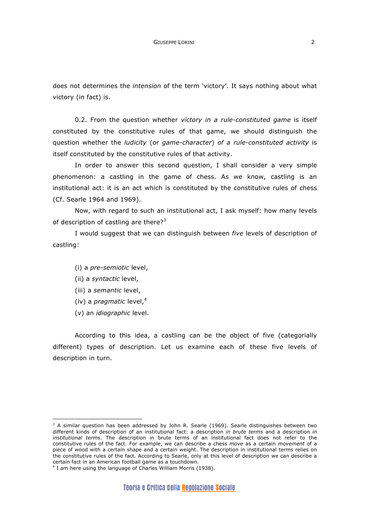does not determines the *intension* of the term 'victory'. It says nothing about what victory (in fact) is.

0.2. From the question whether *victory in a rule-constituted game* is itself constituted by the constitutive rules of that game, we should distinguish the question whether the *ludicity* (or *game-character*) *of a rule-constituted activity* is itself constituted by the constitutive rules of that activity.

In order to answer this second question, I shall consider a very simple phenomenon: a castling in the game of chess. As we know, castling is an institutional act: it is an act which is constituted by the constitutive rules of chess (Cf. Searle 1964 and 1969).

Now, with regard to such an institutional act, I ask myself: how many levels of description of castling are there?<sup>3</sup>

I would suggest that we can distinguish between *five* levels of description of castling:

- (i) a *pre-semiotic* level,
- (ii) a *syntactic* level,
- (iii) a *semantic* level,
- (iv) a *pragmatic* level,<sup>4</sup>
- (v) an *idiographic* level.

 $\overline{a}$ 

According to this idea, a castling can be the object of five (categorially different) types of description. Let us examine each of these five levels of description in turn.

 $3$  A similar question has been addressed by John R. Searle (1969). Searle distinguishes between two different kinds of description of an institutional fact: a description *in brute terms* and a description *in institutional terms*. The description in brute terms of an institutional fact does not refer to the constitutive rules of the fact. For example, we can describe a chess *move* as a certain *movement* of a piece of wood with a certain shape and a certain weight. The description in institutional terms relies on the constitutive rules of the fact. According to Searle, only at this level of description we can describe a certain fact in an American football game as a touchdown.

<sup>&</sup>lt;sup>4</sup> I am here using the language of Charles William Morris (1938).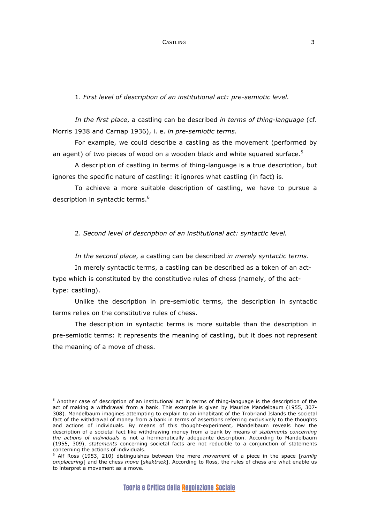## 1. *First level of description of an institutional act: pre-semiotic level.*

*In the first place*, a castling can be described *in terms of thing-language* (cf. Morris 1938 and Carnap 1936), i. e. *in pre-semiotic terms*.

For example, we could describe a castling as the movement (performed by an agent) of two pieces of wood on a wooden black and white squared surface.<sup>5</sup>

A description of castling in terms of thing-language is a true description, but ignores the specific nature of castling: it ignores what castling (in fact) is.

To achieve a more suitable description of castling, we have to pursue a description in syntactic terms.<sup>6</sup>

2. *Second level of description of an institutional act: syntactic level.*

*In the second place*, a castling can be described *in merely syntactic terms*.

In merely syntactic terms, a castling can be described as a token of an acttype which is constituted by the constitutive rules of chess (namely, of the acttype: castling).

Unlike the description in pre-semiotic terms, the description in syntactic terms relies on the constitutive rules of chess.

The description in syntactic terms is more suitable than the description in pre-semiotic terms: it represents the meaning of castling, but it does not represent the meaning of a move of chess.

 $\overline{a}$  $5$  Another case of description of an institutional act in terms of thing-language is the description of the act of making a withdrawal from a bank. This example is given by Maurice Mandelbaum (1955, 307- 308). Mandelbaum imagines attempting to explain to an inhabitant of the Trobriand Islands the societal fact of the withdrawal of money from a bank in terms of assertions referring exclusively to the thoughts and actions of individuals. By means of this thought-experiment, Mandelbaum reveals how the description of a societal fact like withdrawing money from a bank by means of *statements concerning the actions of individuals* is not a hermenutically adequante description. According to Mandelbaum (1955, 309), *statements* concerning societal facts are not reducible to a conjunction of statements concerning the actions of individuals.

<sup>6</sup> Alf Ross (1953, 210) distinguishes between the mere *movement* of a piece in the space [*rumlig omplacering*] and the chess *move* [*skaktræk*]. According to Ross, the rules of chess are what enable us to interpret a movement as a move.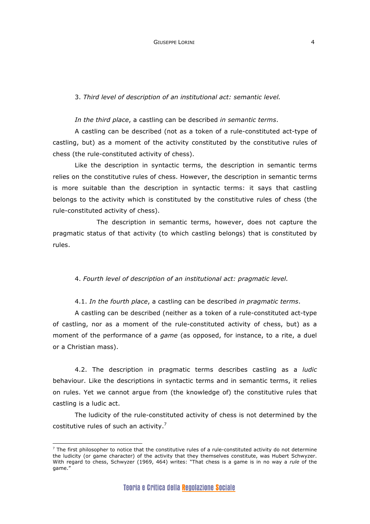3. *Third level of description of an institutional act: semantic level.*

*In the third place*, a castling can be described *in semantic terms*.

A castling can be described (not as a token of a rule-constituted act-type of castling, but) as a moment of the activity constituted by the constitutive rules of chess (the rule-constituted activity of chess).

Like the description in syntactic terms, the description in semantic terms relies on the constitutive rules of chess. However, the description in semantic terms is more suitable than the description in syntactic terms: it says that castling belongs to the activity which is constituted by the constitutive rules of chess (the rule-constituted activity of chess).

The description in semantic terms, however, does not capture the pragmatic status of that activity (to which castling belongs) that is constituted by rules.

4. *Fourth level of description of an institutional act: pragmatic level.*

4.1. *In the fourth place*, a castling can be described *in pragmatic terms*.

A castling can be described (neither as a token of a rule-constituted act-type of castling, nor as a moment of the rule-constituted activity of chess, but) as a moment of the performance of a *game* (as opposed, for instance, to a rite, a duel or a Christian mass).

4.2. The description in pragmatic terms describes castling as a *ludic* behaviour. Like the descriptions in syntactic terms and in semantic terms, it relies on rules. Yet we cannot argue from (the knowledge of) the constitutive rules that castling is a ludic act.

The ludicity of the rule-constituted activity of chess is not determined by the costitutive rules of such an activity.7

 $\overline{a}$ 

 $<sup>7</sup>$  The first philosopher to notice that the constitutive rules of a rule-constituted activity do not determine</sup> the ludicity (or game character) of the activity that they themselves constitute, was Hubert Schwyzer. With regard to chess, Schwyzer (1969, 464) writes: "That chess is a game is in no way a *rule* of the game.'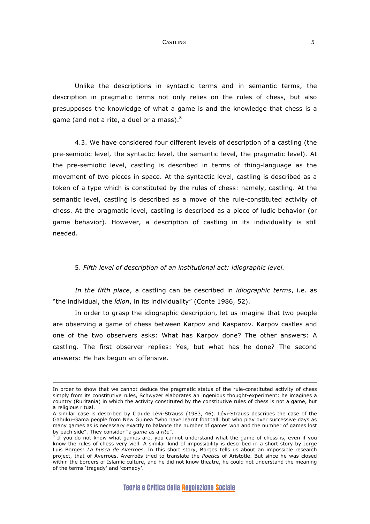CASTLING 5

Unlike the descriptions in syntactic terms and in semantic terms, the description in pragmatic terms not only relies on the rules of chess, but also presupposes the knowledge of what a game is and the knowledge that chess is a game (and not a rite, a duel or a mass). $8$ 

4.3. We have considered four different levels of description of a castling (the pre-semiotic level, the syntactic level, the semantic level, the pragmatic level). At the pre-semiotic level, castling is described in terms of thing-language as the movement of two pieces in space. At the syntactic level, castling is described as a token of a type which is constituted by the rules of chess: namely, castling. At the semantic level, castling is described as a move of the rule-constituted activity of chess. At the pragmatic level, castling is described as a piece of ludic behavior (or game behavior). However, a description of castling in its individuality is still needed.

### 5. *Fifth level of description of an institutional act: idiographic level.*

*In the fifth place*, a castling can be described in *idiographic terms*, i.e. as "the individual, the *ídion*, in its individuality" (Conte 1986, 52).

In order to grasp the idiographic description, let us imagine that two people are observing a game of chess between Karpov and Kasparov. Karpov castles and one of the two observers asks: What has Karpov done? The other answers: A castling. The first observer replies: Yes, but what has he done? The second answers: He has begun an offensive.

 $\overline{a}$ 

In order to show that we cannot deduce the pragmatic status of the rule-constituted activity of chess simply from its constitutive rules, Schwyzer elaborates an ingenious thought-experiment: he imagines a country (Ruritania) in which the activity constituted by the constitutive rules of chess is not a game, but a religious ritual.

A similar case is described by Claude Lévi-Strauss (1983, 46). Lévi-Strauss describes the case of the Gahuku-Gama people from New Guinea "who have learnt football, but who play over successive days as many games as is necessary exactly to balance the number of games won and the number of games lost by each side". They consider "a *game* as a *rite*".

 $8$  If you do not know what games are, you cannot understand what the game of chess is, even if you know the rules of chess very well. A similar kind of impossibility is described in a short story by Jorge Luis Borges: *La busca de Averroes*. In this short story, Borges tells us about an impossible research project, that of Averroës. Averroës tried to translate the *Poetics* of Aristotle. But since he was closed within the borders of Islamic culture, and he did not know theatre, he could not understand the meaning of the terms 'tragedy' and 'comedy'.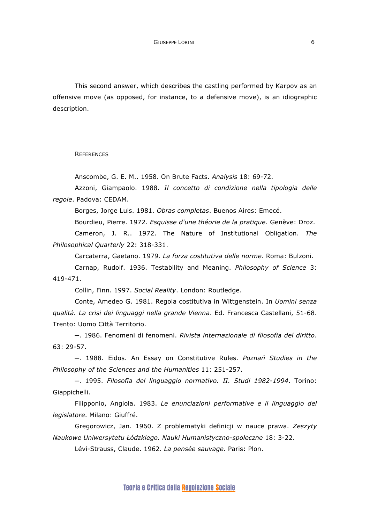This second answer, which describes the castling performed by Karpov as an offensive move (as opposed, for instance, to a defensive move), is an idiographic description.

**REFERENCES** 

Anscombe, G. E. M.. 1958. On Brute Facts. *Analysis* 18: 69-72.

Azzoni, Giampaolo. 1988. *Il concetto di condizione nella tipologia delle regole*. Padova: CEDAM.

Borges, Jorge Luis. 1981. *Obras completas*. Buenos Aires: Emecé.

Bourdieu, Pierre. 1972. *Esquisse d'une théorie de la pratique*. Genève: Droz.

Cameron, J. R.. 1972. The Nature of Institutional Obligation. *The Philosophical Quarterly* 22: 318-331.

Carcaterra, Gaetano. 1979. *La forza costitutiva delle norme*. Roma: Bulzoni.

Carnap, Rudolf. 1936. Testability and Meaning. *Philosophy of Science* 3: 419-471.

Collin, Finn. 1997. *Social Reality*. London: Routledge.

Conte, Amedeo G. 1981. Regola costitutiva in Wittgenstein. In *Uomini senza qualità. La crisi dei linguaggi nella grande Vienna*. Ed. Francesca Castellani, 51-68. Trento: Uomo Città Territorio.

─. 1986. Fenomeni di fenomeni. *Rivista internazionale di filosofia del diritto*. 63: 29-57.

─. 1988. Eidos. An Essay on Constitutive Rules. *Poznań Studies in the Philosophy of the Sciences and the Humanities* 11: 251-257.

─. 1995. *Filosofia del linguaggio normativo. II. Studi 1982-1994*. Torino: Giappichelli.

Filipponio, Angiola. 1983. *Le enunciazioni performative e il linguaggio del legislatore*. Milano: Giuffré.

Gregorowicz, Jan. 1960. Z problematyki definicji w nauce prawa. *Zeszyty Naukowe Uniwersytetu Łódzkiego. Nauki Humanistyczno-społeczne* 18: 3-22.

Lévi-Strauss, Claude. 1962. *La pensée sauvage*. Paris: Plon.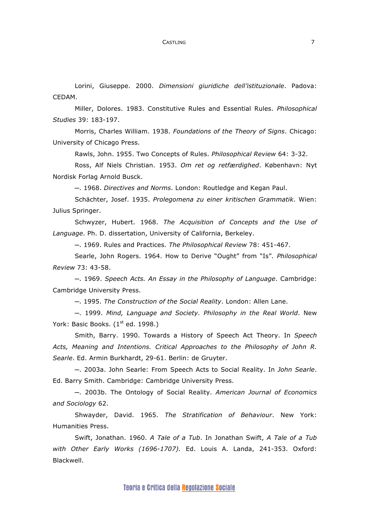#### CASTLING 7

Lorini, Giuseppe. 2000. *Dimensioni giuridiche dell'istituzionale*. Padova: CEDAM.

Miller, Dolores. 1983. Constitutive Rules and Essential Rules. *Philosophical Studies* 39: 183-197.

Morris, Charles William. 1938. *Foundations of the Theory of Signs*. Chicago: University of Chicago Press.

Rawls, John. 1955. Two Concepts of Rules. *Philosophical Review* 64: 3-32.

Ross, Alf Niels Christian. 1953. *Om ret og retfærdighed*. København: Nyt Nordisk Forlag Arnold Busck.

─. 1968. *Directives and Norms*. London: Routledge and Kegan Paul.

Schächter, Josef. 1935. *Prolegomena zu einer kritischen Grammatik*. Wien: Julius Springer.

Schwyzer, Hubert. 1968. *The Acquisition of Concepts and the Use of Language*. Ph. D. dissertation, University of California, Berkeley.

─. 1969. Rules and Practices. *The Philosophical Review* 78: 451-467.

Searle, John Rogers. 1964. How to Derive "Ought" from "Is". *Philosophical Review* 73: 43-58.

─. 1969. *Speech Acts. An Essay in the Philosophy of Language*. Cambridge: Cambridge University Press.

─. 1995. *The Construction of the Social Reality*. London: Allen Lane.

─. 1999. *Mind, Language and Society. Philosophy in the Real World*. New York: Basic Books. (1<sup>st</sup> ed. 1998.)

Smith, Barry. 1990. Towards a History of Speech Act Theory. In *Speech Acts, Meaning and Intentions. Critical Approaches to the Philosophy of John R. Searle*. Ed. Armin Burkhardt, 29-61. Berlin: de Gruyter.

─. 2003a. John Searle: From Speech Acts to Social Reality. In *John Searle*. Ed. Barry Smith. Cambridge: Cambridge University Press.

─. 2003b. The Ontology of Social Reality. *American Journal of Economics and Sociology* 62.

Shwayder, David. 1965. *The Stratification of Behaviour*. New York: Humanities Press.

Swift, Jonathan. 1960. *A Tale of a Tub*. In Jonathan Swift, *A Tale of a Tub with Other Early Works (1696-1707).* Ed. Louis A. Landa, 241-353. Oxford: Blackwell.